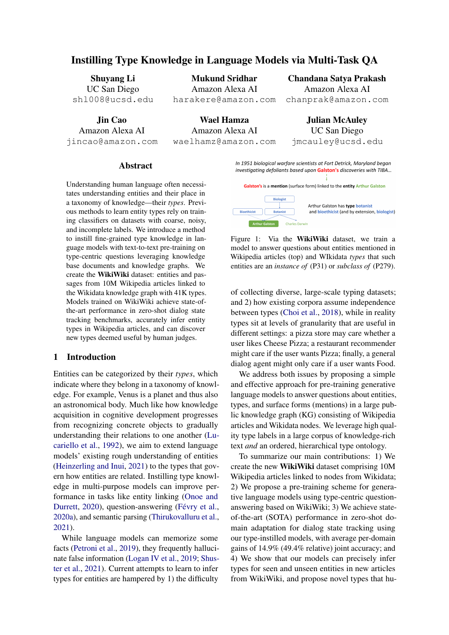# Instilling Type Knowledge in Language Models via Multi-Task QA

Shuyang Li UC San Diego shl008@ucsd.edu

Jin Cao Amazon Alexa AI jincao@amazon.com

Mukund Sridhar Amazon Alexa AI harakere@amazon.com

Wael Hamza Amazon Alexa AI waelhamz@amazon.com

Chandana Satya Prakash Amazon Alexa AI chanprak@amazon.com

Julian McAuley UC San Diego jmcauley@ucsd.edu

#### Abstract

Understanding human language often necessitates understanding entities and their place in a taxonomy of knowledge—their *types*. Previous methods to learn entity types rely on training classifiers on datasets with coarse, noisy, and incomplete labels. We introduce a method to instill fine-grained type knowledge in language models with text-to-text pre-training on type-centric questions leveraging knowledge base documents and knowledge graphs. We create the WikiWiki dataset: entities and passages from 10M Wikipedia articles linked to the Wikidata knowledge graph with 41K types. Models trained on WikiWiki achieve state-ofthe-art performance in zero-shot dialog state tracking benchmarks, accurately infer entity types in Wikipedia articles, and can discover new types deemed useful by human judges.

### 1 Introduction

Entities can be categorized by their *types*, which indicate where they belong in a taxonomy of knowledge. For example, Venus is a planet and thus also an astronomical body. Much like how knowledge acquisition in cognitive development progresses from recognizing concrete objects to gradually understanding their relations to one another (Lucariello et al., 1992), we aim to extend language models' existing rough understanding of entities (Heinzerling and Inui, 2021) to the types that govern how entities are related. Instilling type knowledge in multi-purpose models can improve performance in tasks like entity linking (Onoe and Durrett, 2020), question-answering (Févry et al., 2020a), and semantic parsing (Thirukovalluru et al., 2021).

While language models can memorize some facts (Petroni et al., 2019), they frequently hallucinate false information (Logan IV et al., 2019; Shuster et al., 2021). Current attempts to learn to infer types for entities are hampered by 1) the difficulty

<span id="page-0-0"></span>In 1951 biological warfare scientists at Fort Detrick, Maryland began investigating defoliants based upon Galston's discoveries with TIBA...

Galston's is a mention (surface form) linked to the entity Arthur Galston



Figure 1: Via the WikiWiki dataset, we train a model to answer questions about entities mentioned in Wikipedia articles (top) and WIkidata *types* that such entities are an *instance of* (P31) or *subclass of* (P279).

of collecting diverse, large-scale typing datasets; and 2) how existing corpora assume independence between types (Choi et al., 2018), while in reality types sit at levels of granularity that are useful in different settings: a pizza store may care whether a user likes Cheese Pizza; a restaurant recommender might care if the user wants Pizza; finally, a general dialog agent might only care if a user wants Food.

We address both issues by proposing a simple and effective approach for pre-training generative language models to answer questions about entities, types, and surface forms (mentions) in a large public knowledge graph (KG) consisting of Wikipedia articles and Wikidata nodes. We leverage high quality type labels in a large corpus of knowledge-rich text *and* an ordered, hierarchical type ontology.

To summarize our main contributions: 1) We create the new WikiWiki dataset comprising 10M Wikipedia articles linked to nodes from Wikidata; 2) We propose a pre-training scheme for generative language models using type-centric questionanswering based on WikiWiki; 3) We achieve stateof-the-art (SOTA) performance in zero-shot domain adaptation for dialog state tracking using our type-instilled models, with average per-domain gains of 14.9% (49.4% relative) joint accuracy; and 4) We show that our models can precisely infer types for seen and unseen entities in new articles from WikiWiki, and propose novel types that hu-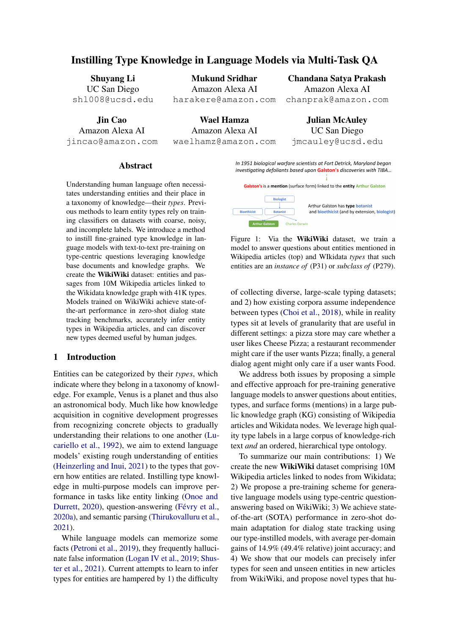|                        | Training | Test   | Test (New Ent) |
|------------------------|----------|--------|----------------|
| Documents              | 10 M     | 5.0 K  | 5.0K           |
| <b>Unique Entities</b> | 2.2 M    | 14.1 K | 6.0K           |
| Unique Types           | 40.6K    | 4.0 K  | 1.2K           |
| Num. of Mentions       | 38.7 M   | 19.3K  | 6.4 K          |
| <b>Type References</b> | 43.8 M   | 21.5K  | 6.5K           |

<span id="page-1-0"></span>Context: These included carbon dioxide by burning diamond, and mercuric oxide by heating mercury. This type of experiment contributed to the discovery of "dephlogisticated air" by Priestley, which became better known as oxygen, following Lavoisier's investigations.

oxide (chemical compound), mercury (chemical element), and dephlogisticated air (superseded scienti c theory) Entity Typing (30%): What is dephlogisticated air an

Entity/Type Discovery (20%): List all concepts and types mentioned here.

Answer: superseded scienti c theory

Answer: Joseph Priestley (chemist)

Table 1: Unique documents/entities/types and number answer: Priestley (chemist), Lavoisier (chemist), mercuric of mentions in each split ofWikiWiki . Test (New Ent) comprises entities not seen in the training split.

mans judge to be accurate and appropriate.

## 2 Related Work

Knowledge Grounding in Language Models Large pre-trained language models have been

Slot Filling (30%): Which chemists are mentioned here? Answer: Joseph Priestley and Antoine Lavoisier

Entity Recognition (20%): What does Priestley refer to?

shown to memorize some facts (Petroni et al.Țable 2: In pre-training, the model reads a Wikipedia 2019). One recent line of work aims to explicitly article and answers questions from four tasks involving entities and types. It must generate answers containing<br>condition generation on knowledge bases by combining a retrieval module and a language model mentions) ingreen, entities inred, and types in lue. (Majumder et al., 2020; Guu et al., 2020; Lewis terms not found verbatim in the text. Surface forms

example of?

et al., 2020b; Mazaré et al., 2018). Peters et al.

(2019) propose instead to align token represent abwnsides of the above approaches—the linearly tions from pre-trained language models with entityincreasing space required to store learned represenembeddings to reason over a limited set of entities ations and dif culties in negative sampling-by [Yamada et al](#page-7-0). [\(202](#page-7-0)0) explicitly denote entity tokenscasting the task as generative language modeling: with a learned input embedding. Speci c entity em-predict the name of an entity to be linked. We beddings have also been learned jointly by usingeneralize this approach from entity names (which knowledge graphs as auxiliary inputs during lanappear verbatim) to include types, which require a guage model pre-training (Sun et al., 2020a; Févry more nuanced understanding of a context. et al., 2020b; [Zhang et a](#page-7-1)l., [20](#page-7-1)21). Another line

of work aims to model speci c factual statements **Type-Centric Multitask Modeling** 

from knowledge bases (Wang et al., 2021) for read<sub>Wiki</sub>Wiki Corpus ing comprehension (Lu et al., 2021) and trivia QA aware language model, we build theikiWiki (Agarwal et al., 2021). We propose text-to-text dataset by combining Wikipedia articles with the pre-training on knowledge recovery tasks to instill Wikidata KG (Vrandecic, 2012). Wikipedia articles type-awarenessOur models learn type knowledge have been used to enrich corpora for dialog (Dinan that transfers to the type-adjacent downstream task<sub>t al.,</sub> 2019), coreference resolution (Singh et al., of dialog state tracking and can infer unseen type $\Sigma_{012}$ , and QA (Liu et al., 2020). KGs have been To train an entity- and type-

Entity Representation Learning Many SOTA systems for knowledge retrieval and QA rely on<sup>et al.</sup>, 2020). [Yao et a](#page-7-4)l. [\(201](#page-7-4)9) use Wikipedia pages learned dense embeddings of individual entities o<sup>as context</sup> for relation triples mined from Wikidata. types to perform multi-class classi cation (Ganea VVe link articles, entities, and types as in Figand Hofmann, 2017; Karpukhin et al., 20[20;](#page-7-2) Wu ure [1](#page-0-0): like [Wu et al](#page-7-5). [\(2020](#page-7-5)b), we take Wikipedia [et al.](#page-7-2), [2020a](#page-7-2)). Several recent frameworks aim to yperlinks as links betweentities (target page) learn entity knowledge during language model preand theirmentions(link text); we link pages to training via entity masking (Sun et al., 2020b) or Wikidata nodes via ID; and for each node we excontrastive learning (Qin et al., 2021). Systemstract typesT from Wikidata wheret 2 T is an for entity typing (Dai et al., 2021) and disambigua-instanc&ubclassof the node (discarding entities tion [\(Yamada et a](#page-7-3)l., [201](#page-7-3)9) also learn dense vectowith no types)<sup>1</sup>. To address sparsity of hyperlinks, encodings that are later matched via dot-product 1All humans on Wikidata are an instance of `human'; we scoring. Cao et al. (2021) aim to address somenus use the `occupation' relation to determine their types. used for entity typing and relation extraction (Sakor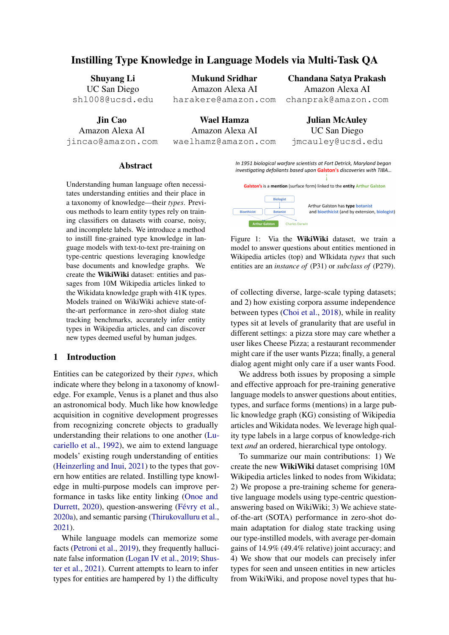| we follow Yao et al. (2019) and use spaCy to iden <sub>User:</sub><br>tify additional entities. We sample 10M articles                                                | I'm looking for a place to stay during my<br>upcoming trip to Cambridge.                                                 |
|-----------------------------------------------------------------------------------------------------------------------------------------------------------------------|--------------------------------------------------------------------------------------------------------------------------|
| for training, with two disjoint 5K-article splits for<br>evaluation, containing seen and unseen (New Ent) <sup>ystem:</sup>                                           | I can de nitely help you with that! What<br>area are you staying in, and what is the<br>price range you are looking for? |
| entities respectively (Table 1). The ontology of<br>Wikidata types forms a directed acyclic graph with User:<br>AALA también de des constitues de O.OM contractor Doc | It should be located in the west and it<br>should be cheap.                                                              |

41K type nodes applying to 2.2M entities. Pre-Belief State: vious entity typing datasets rely on annotations [hotel price range]: cheap; [hotel area]: west

from small groups of crowd-workers and includeTable 3: In Dialog State Tracking (DST), a model infers a small type ontology in the hundreds (Ling andthe belief state of a user given the dialog history thus Weld, 2012) and/or sacri ce label accuracy (Choifar, comprising slots (red) and their values (blue). In et al., 2018). We instead rely on the cumulative<sup>Zero-shot DST, the model must infer the correct values</sup> cross-checked annotations from tens of thousands<sup>pr</sup> slots that it has not seen during training, requiring of active Wikidata users. the agent to rely on general type knowledge.

Entities in Wikidata on average are assigned

1.28 types; for entities with multiple types, not all passage belonging to a certain type. For multi-type types are necessarily relevant to a context. Foentities, we use a subset of relevant types given example, take the following passage: Dbama was elected to the Illinois Senate in 1996, sucQA as a universal format for diverse NLU tasks ceeding Democratic State Senator Alice Palme(McCann et al., 2018), and adopt the framework from Illinois's 13th District, which, at that time, of Raffel et al. (2020) to treat each of our tasks as spanned Chicago South Side neighborhoods frortext-to-text generative modeling. We create 50M Hyde Park–Kenwood south to South Shore and westuestions for pre-training. to Chicago Lawn." other entities in the context (Appendix A). We treat

While Wikidata entities may have 5+ types, while wikidate change may have of types, (Sutskever et al., 2014) model initialized from<br>many are not directly relevant to a context. For a press free of research (Several at al. 2017) lan many are not alleelly relevant to a context. The BART—a Transformer (Vaswani et al., 2017) lan-<br>example, while Barack Obama has types include uses model are trained via de naising outcom ing Politician, Jurist, Political Writer, Community Organizer, andPodcaster the latter is not relevant Eigenize, and educate, the latter is not referant ates an answer as a text sequence given a doc-<br>to the context. To teach our models to infer types relevant to the context at hand, in pre-training data we take only types that are shared between Barack ument is encoded via the encoder—consisting of Obama and other entities in the document (e.g. Alice Palmer—Politician). We have made the Wiki-Wiki dataset publicly available on Github. Model Architecture We use an encoder-decoder guage model pre-trained via de-noising autoencoding (Lewis et al., 2020a). Our model generumentD of lengtht<sub>d</sub> and questiorq. The doc-**I** Transformer layers of hidden dimensiona**li**ty each applying 16-headed self-attention—to producez :=  $\mathsf{End}(\mathsf{D})$  2  $\mathsf{R}^{\mathsf{t}_\mathsf{d}}$  h.

Pre-training Tasks To instill type-centric knowledge from WikiWiki, we train our models to an-the question with the context in encoder input (Lin swer four types of knowledge-based questions coret al., 2021), the decoder generates a sequence conditioned on a passage from Wikipedia (example $\hat{\bm{s}}$ isting of the question and answar= [ q; a]. We in Table 2). Inentity/type discovery the model is tasked to recover all surface forms (mentions) thato answer multiple questions. At training time we reference an entity, along with their types—this is perform next-token prediction, calculating crossanalogous to simultaneous entity recognition an@ntropy loss by maximizing the log likelihood of typing. Entity typingconsists of assigning types the question and answer conditioned on the doc-<br>the second interest. Equations conditions with properties  $\mathbf{F}(\mathbf{a}, \mathbf{a} \mathbf{b}) = \mathbf{F} \mathbf{B}(\mathbf{x}, \mathbf{b})$ . We as to an entity of interest. Forntity recognition we follow Cao et al. (2021) by training our model to sess the impact of our pre-training on Babel Q, respond with an entity's full name and type whenh=768) and Largel (=24, h=1024) models. queried with a surface form. Islot lling we ask We train the model to perform QA via conditional language modeling. Instead of concatenating can thus cache the document encoding at inference ument:  $P(q; qD) =$  $t<sub>t</sub><sup>T</sup> P(x<sub>t</sub> jx; D).$  We as-

our model to return all entities mentioned in the<sup>4</sup> **Experiments** 

<sup>2</sup>https://github.com/amazon-research/ wikiwiki-dataset/

We demonstrate the effectiveness of our pretraining on two tasks that require type understand-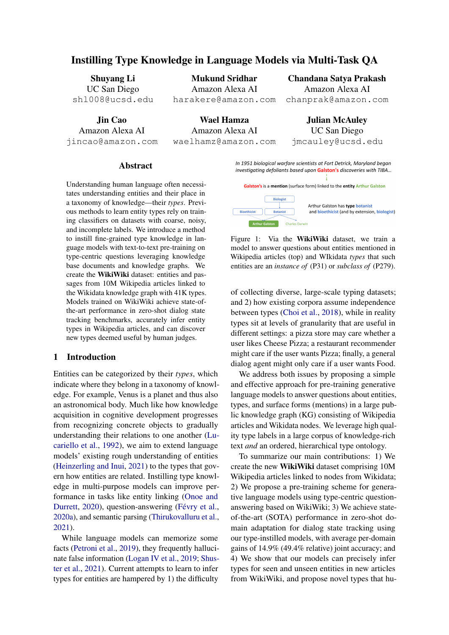|              | # Params | R    | н    | А    |      |      | 50%<br>100%<br><b>20%</b>                                               |
|--------------|----------|------|------|------|------|------|-------------------------------------------------------------------------|
| <b>TRADE</b> | 90M      | 12.6 | 14.2 | 20.1 | 22.4 | 59.2 | Base (139M)<br>39.0<br>14.7<br>13.7                                     |
| MA-DST       | 90M      | 13.6 | 16.3 | 22.5 | 22.8 | 59.3 | Large $(406M)$<br>0.9<br>4.8<br>1.6                                     |
| <b>SUMBT</b> | 355M     | 16.5 | 19.8 | 22.6 | 22.5 | 59.5 |                                                                         |
| GPT2-DST     | 355M     | 26.2 | 24.4 | 31.3 | 29.1 |      | <sup>59.6</sup> Table 5: Relative gain (%) in JGA for models trained on |
| <b>BART</b>  | 139M     | 27.9 | 31.9 | 38.4 | 34.3 |      | 70.5 WikiWiki vs standard BART pre-training. Our method                 |
| Ours (Base)  | 139M     | 40.4 | 36.5 | 39.8 | 36.1 | 70.9 | helps more in low-data regimes and for smaller models.                  |
| Ours (Large) | 406M     | 46.7 | 38.8 | 49.8 | 37.7 | 72.1 |                                                                         |

Table 4: Zero-shot domain adaptation JGA (%) on most categorical slots that resemble types (e.g. cui-<br>MultiMOZ 2.4 test ast an the (D)ataugust (U)atal most categorical slots that resemble types (e.g. cui-MultiWOZ 2.1 test set on the (R)estaurant, (H)otel,  $(A)$ ttraction,  $(T)$ rain, and Ta $(X)$ i domains. We achieve SOTA results on all domains by signi cant margins. sine, hotel type). In Table 5 we compare our models against same-size BART models at different

levels of training data availability to demonstrate the additive utility of our method. Our method is

ing: zero-shot domain generalization in dialog statoarticularly helpful with less ne-tuning data (lowtracking (DST), and ne-grained entity typing.

data regimes), with average gains of 39% for small models and 4.8% for large models at 20% data

Zero-Shot DST The goal of Dialog State Tracking (DST) is to infer user intent and goals from els, af rming that our method can effectively instill conversations by Iling in belief slots (Lemon et al., 2006; Wang and Lemon, 2013). In many real-world availability. Gains are magni ed for smaller modtype knowledge in lightweight language models.

settings, DST models must be able to predict new Itra-Fine Entity Typing Our method improves slot values (i.e. new entities that are not present eneralization in type-adjacent tasks; we next aim in the training corpus) and new slot types (e.g. reto infer entity types in unseen documents. In prequirements for applications in new domains). This liminary experiments on the UltraFine dataset with problem setting is known as zero-shot DST (Ta11K types (Choi et al., 2018), our models underble 3). We follow the zero-shot setting in Cam-perform SOTA (24.0 vs. 49.1 F1). Manual inspecpagna et al. (2020): train a model on multi-domaintion of gold labels reveals two main causes for er-DST data and evaluate on a held-out domain. Wo r: 1) inaccurate labels—e.g. "rare plants" as type measure domain generalization performance vi<sup>g</sup>bird"; and 2) inconsistent usage of gold labels: joint goal accuracy (JGA): the percent of turnsdifferent spellings (rganization/ organisation) or in which a model successfully predicts values forsynonyms ¢ar / automobile are treated as distinct all slots in the target domain. We use the Multi-and often do not collocate. This suggests that la-WOZ 2.1 benchmark (Eric et al., 2019), evaluating bel noise in UltraFine may make it unsuitable for zero-shot JGA for the Restaurant, Hotel, Attracassessing granular, hierarchical type knowledge. tion, Train, and Taxi domains. At each turn, we y We examine these annotation errors wianan ask the model a question about the preference fot aluation, presenting crowd-workers with 200 each slot. We compare against recent systems that ntexts from UltraFine (10% of the test set). Only can perform zero-shot DST: TRADE (Wu et al., 68% of gold type labels were judged accurate, and 2019), MA-DST (Kumar et al., 2020), SUMBT 21% inaccurate. We compare gold labels against (Lee et al., 2019), and GPT2-DST (Li et al., 2021) zero-shot predictions from our model in a second Our method is complementary to systems for creatrial with 200 pairs. Judges preferred our predicing synthetic in-domain dialogs (Kim et al., 2021) tions 51% of the time compared to 29% for gold.

As seen in Table 4 our type-centric pre-training We observed moderate inter-annotator agreement allows a model to answer questions about unsee of  $=0.4044$  (Fleiss, 1971). This suggests that slots. BART-base itself achieves SOTA JGA acrossour models can accurately infer types, but current all domains, and our pre-training signi cantly in- benchmarks do not suitably measure typing quality. creases the gain to 10.6% absolute / 34.8% relative

JGA—despite only using one-third of the param Entity Typing on WikiWiki Me turn to Wikieters. Our Large model achieves 14.9% absolut&/iki to evaluate ne-grained entity typing, leveragand 49.4% relative gain in JGA compared to previing type labels veri ed by active users of Wikidata. ous SOTA. The most signi cant gains come in the To verify the accuracy of ground-truth type labels Hotel and Restaurant domains, which contain then the WikiWiki test set, we asked human evalua-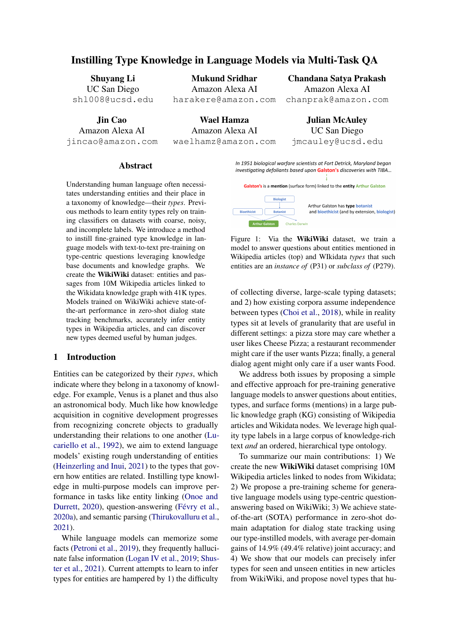| Entities | Model           | Precision Recall |                                  | F1          |
|----------|-----------------|------------------|----------------------------------|-------------|
| Seen     | RoBERTa<br>Ours | 62.35            | 78.13 72.39 75.15                | 59.38 60.82 |
| Unseen   | RoBERTa<br>Ours | 66.65            | 48.88 47.96 48.41<br>63.71 65.14 |             |

# 5 Conclusion

In this paper, we 1) propose a text-to-text pretraining scheme to instill type knowledge in language models via QA and 2) release WickiWiki dataset built from Wikipedia articles and the Wiki-

Table 6: P/R/F1 of pred. vs. gold types on WikiWiki data KG. We show that WikiWiki is larger-scale Test (seen) and Test New Ent (unseen entities) splits. and more accurate than existing ne-grained type

recognition datasets. We demonstrate that our typecentric pre-training framework allows us to train

tors to judge the accuracy of 443 type labels fromanguage models that can better generalize to un-200 randomly sampled contexts. We con rm thatseen domains, entities, and types—which in turn WikiWiki is a high-quality benchmark for entity typing, with 85% type precision assessed by huma**n**tream tasks like dialog state tracking (achieving judges (compared to 68% for UltraFine). lead to improved model performance on down-SOTA results on zero-shot DST with average gains

We found that multi-label classi ers built on RoBERTa (Liu et al., 2019) that perform well on UltraFine require signi cant hyper-parameter tuning to output non-trivial predictions to classify our large and sparse (41K) type ontology. To per-tunity to use life-long learning (Parisi et al., 2019) ange and sparse (TII) type sinclegy. The performance and publications to expand and model the form entity typing with our model, we generate the conservation of the substantial of comma-delimited text sequences of types (Yang taxonomy of knowledge. of 14.9% joint accuracy). Our models can extrapolate type knowledge and infer novel types that humans judge to be useful and precise. As the body of human knowledge grows, we see an oppor-

et al., 2018). This allows our models to infer and Acknowledgements

generate novel types while classi ers remain re-

stricted to the training ontology. We con rm that We would like to thank Stephen Rawls, Ryan our pre-training helps models better infer types for Gabbard, and anonymous reviewers for providing both seen (+14.3 F1) and unseen entities (+16.7 FYaluable feedback on this work. We also thank in new contexts compared to classi ers (Table 6). Nicolas Guénon des Mesnards and Victor Soto for their help setting up MTurk for human evaluations.

To investigate if our model can discover novel work was performed during rst author's internship types, we perform another uman evaluation over 557 such predictions from 300 contexts, with inter-of the authors only, and do not necessarily re ect annotator agreement of 0.4086. Our model accurately extrapolates its type knowledge beyond at Amazon Alexa AI. Findings and observations are the views of Amazon or UCSD.

the training ontology—we observe 73.3% preci-

sion when inferring new types (compared to 74.5% References

precision for seen types), demonstrating that oub<sub>shin Agarwal, Heming Ge, Siamak Shakeri, and</sub> pre-training enables models to reason about types Rami Al-Rfou. 2021. Knowledge graph based synbeyond simple memorization. Our model discovers complex and speci c scienti c types, correctly proposing that anorthosite (an aluminum silicate rock) is ametallurgical rock<sup>3</sup> and that speckled Giovanni Campagna, Agata Foryciarz, Mehrad Moradtortoises arenonotrophs<sup>4</sup> This re ects the robust taxonomy of types in scienti c disciplines. Our model also proposes granular categories of events, and is judged to correctly type the 2015 Tour of Tai-Nicola De Cao, Gautier Izacard, Sebastian Riedel, and wan as an instance of the Ur de Taiwarcycling race. In the future, we seek methods to automatically assess the factual accuracy of new types. thetic corpus generation for knowledge-enhanced language model pre-training. MAACL-HLT, pages 3554–3565. shahi, and Monica S. Lam. 2020. Zero-shot transfer learning with synthesized data for multi-domain dialogue state tracking. IACL, pages 122-132. Fabio Petroni. 2021. Autoregressive entity retrieval. In ICLR. Eunsol Choi, Omer Levy, Yejin Choi, and Luke Zettlemoyer. 2018. Ultra- ne entity typing. InACL,

pages 87–96.

Hongliang Dai, Yangqiu Song, and Haixun Wang. 2021. Ultra- ne entity typing with weak supervision

<sup>&</sup>lt;sup>3</sup>rocks containing metallic compounds and properties 4 has diet comprising one type of food (Herrera, 1976)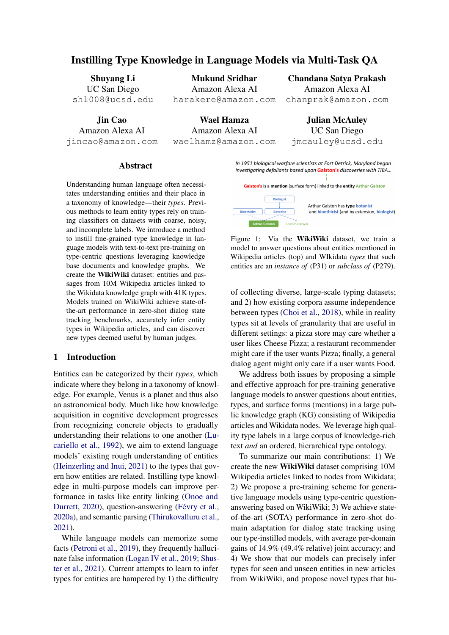from a masked language model. ACL/IJCNLP, pages 1790–1799.

Emily Dinan, Stephen Roller, Kurt Shuster, Angela Fan, Michael Auli, and Jason Weston. 2019. Wizard of wikipedia: Knowledge-powered conversational Adarsh Kumar, Peter Ku, Anuj Kumar Goyal, Angeagents. InCLR. OpenReview.net. 3704–3717. liki Metallinou, and Dilek Hakkani-Tür. 2020. MA-

Mihail Eric, Rahul Goel, Shachi Paul, Abhishek Sethi, Sanchit Agarwal, Shuyang Gao, and Dilek Hakkanistate corrections and state tracking baselines RR abs/1907.01669.

Thibault Févry, Livio Baldini Soares, Nicholas FitzGerald, Eunsol Choi, and Tom Kwiatkowski. 2020a. Entities as experts: Sparse memory access with entity supervision. InEMNLP, pages 4937–4951.

Thibault Févry, Livio Baldini Soares, Nicholas FitzGer-Mike Lewis, Yinhan Liu, Naman Goyal, Marald, Eunsol Choi, and Tom Kwiatkowski. 2020b. Entities as experts: Sparse memory access with entity supervision. InEMNLP. Association for Computational Linguistics.

Joseph L Fleiss. 1971. Measuring nominal scale agreement among many raters.Psychological bulletin 76(5):378.

Octavian-Eugen Ganea and Thomas Hofmann. 2017. Tim Rocktäschel, Sebastian Riedel, and Douwe Deep joint entity disambiguation with local neural attention. InEMNLP, pages 2619–2629.

Samuel Gehman, Suchin Gururangan, Maarten Sa $\beta$ huyang Li, Jin Cao, Mukund Sridhar, Henghui Zhu, Yejin Choi, and Noah A. Smith. 2020. Realtoxicityprompts: Evaluating neural toxic degeneration in language models. IEMNLP (Findings) pages 3356–3369.

pat, and Ming-Wei Chang. 2020. REALM: retrievalaugmented language model pre-trainingCoRR abs/2002.08909.

Benjamin Heinzerling and Kentaro Inui. 2021. Language models as knowledge bases: On entity gaage models as knowledge bases. On entity and Daniel Sand Daniel S. Weld. 2012. Fine-grained en-<br>representations, storage capacity, and paraphrased in resegnition. In A ALLA ALLETOR queries. InEACL, pages 1772–1791. tity recognition. InAAAI. AAAI Press.

Carlos M Herrera. 1976. A trophic diversity index for presence-absence food da@ecologia 25(2):187-191.

Jeremy Howard and Sebastian Ruder. 2018. Universa inhan Liu, Myle Ott, Naman Goyal, Jingfei Du, Manlanguage model ne-tuning for text classi cation. In ACL, pages 328–339. Association for Computational Linguistics. dar Joshi, Danqi Chen, Omer Levy, Mike Lewis, Luke Zettlemoyer, and Veselin Stoyanov. 2019. Roberta: A robustly optimized BERT pretraining ap-

Vladimir Karpukhin, Barlas Oguz, Sewon Min, Patrick S. H. Lewis, Ledell Wu, Sergey Edunov, Danqi Robert L. Logan IV, Nelson F. Liu, Matthew E. Peters, Chen, and Wen-tau Yih. 2020. Dense passage re-Matt Gardner, and Sameer Singh. 2019. Barack's trieval for open-domain question answering. In EMNLP, pages 6769–6781. proach.CoRR, abs/1907.11692. wife hillary: Using knowledge graphs for fact-aware language modeling. IACL, pages 5962-5971.

Sungdong Kim, Minsuk Chang, and Sang-Woo Lee. 2021. Neuralwoz: Learning to collect task-oriented dialogue via model-based simulation.  $A\&L$ , pages

DST: multi-attention-based scalable dialog state tracking. InAAAI, pages 8107–8114.

Tür. 2019. Multiwoz 2.1: Multi-domain dialogue Hwaran Lee, Jinsik Lee, and Tae-Yoon Kim. 2019. SUMBT: slot-utterance matching for universal and scalable belief tracking. IACL, pages 5478-5483.

> Oliver Lemon, Kallirroi Georgila, James Henderson, and Matthew N. Stuttle. 2006. An ISU dialogue system exhibiting reinforcement learning of dialogue policies: Generic slot- Iling in the TALK in-car system. InEACL.

jan Ghazvininejad, Abdelrahman Mohamed, Omer Levy, Veselin Stoyanov, and Luke Zettlemoyer. 2020a. BART: denoising sequence-to-sequence pretraining for natural language generation, translation, and comprehension. IACL, pages 7871-7880.

Patrick S. H. Lewis, Ethan Perez, Aleksandra Piktus, Fabio Petroni, Vladimir Karpukhin, Naman Goyal, Heinrich Küttler, Mike Lewis, Wen-tau Yih, Kiela. 2020b. Retrieval-augmented generation for knowledge-intensive NLP tasks. MeurIPS

Shang-Wen Li, Wael Hamza, and Julian J. McAuley. 2021. Zero-shot generalization in dialog state tracking through generative question answering. In EACL, pages 1063–1074.

Kelvin Guu, Kenton Lee, Zora Tung, Panupong Pasu<sup>Zhaojiang</sup> Lin, Bing Liu, Seungwhan Moon, Paul A. Crook, Zhenpeng Zhou, Zhiguang Wang, Zhou Yu, Andrea Madotto, Eunjoon Cho, and Rajen Subba. 2021. Leveraging slot descriptions for zeroshot cross-domain dialogue state tracking oRR abs/2105.04222.

> Dayiheng Liu, Yeyun Gong, Jie Fu, Yu Yan, Jiusheng Chen, Daxin Jiang, Jiancheng Lv, and Nan Duan. 2020. Rikinet: Reading wikipedia pages for natural question answering. IACL, pages 6762-6771.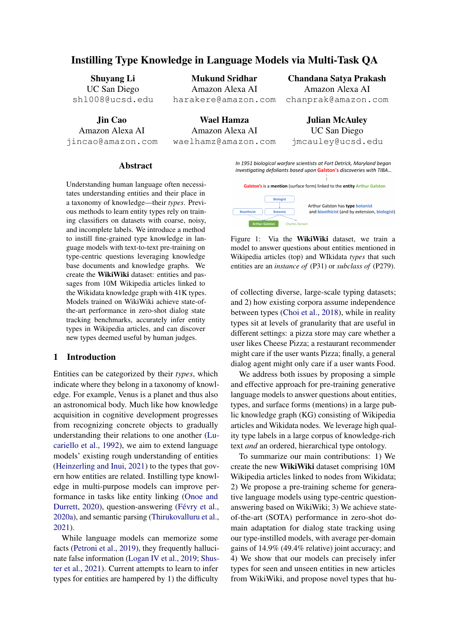Yinquan Lu, Haonan Lu, Guirong Fu, and Qun Liu. Ahmad Sakor, Kuldeep Singh, Anery Patel, and Maria-2021. KELM: knowledge enhanced pre-trained lan-Esther Vidal. 2020. Falcon 2.0: An entity and reguage representations with message passing on hier-lation linking tool over wikidata. InCIKM, pages archical relational graph $\mathcal{L}$ oRR abs/2109.04223. 3141–3148. ACM.

Joan Lucariello, Amy Kyratzis, and Katherine Nelson. Kurt Shuster, Spencer Poff, Moya Chen, Douwe Kiela, 1992. Taxonomic knowledge: What kind and when? Child development  $3(4)$ : 978–998.

Bodhisattwa Prasad Majumder, Shuyang Li, Jianmo Ni, and Julian J. McAuley. 2020. Interview: Large-scale Sameer Singh, Amarnag Subramanya, Fernando modeling of media dialog with discourse patterns and knowledge grounding. **EMNLP**, pages 8129– 8141.

Pierre-Emmanuel Mazaré, Samuel Humeau, Martin Raison, and Antoine Bordes. 2018. Training millions of personalized dialogue agents. **EMNLP,** pages 2775–2779.

Bryan McCann, Nitish Shirish Keskar, Caiming Xiong, and Richard Socher. 2018. The natural language decathlon: Multitask learning as question answering. CoRR, abs/1806.08730.

Yasumasa Onoe and Greg Durrett. 2020. Interpretable entity representations through large-scale typing. In Findings of EMNLP, pages 612–624.

Christopher Kanan, and Stefan Wermter. 2019. Continual lifelong learning with neural networks: A review. Neural Networks 113:54–71.

Matthew E. Peters, Mark Neumann, Robert L. Logan IV, Roy Schwartz, Vidur Joshi, Sameer Singh, and Noah A. Smith. 2019. Knowledge enhanced contextual word representations. EMNLP, pages 43–54.

Fabio Petroni, Tim Rocktäschel, Sebastian Riedel, and Alexander H. Miller. 2019. Language models as knowledge bases? EMNLP, pages 2463-2473.

Bharadwaj Pudipeddi, Maral Mesmakhosroshahi, Jinlarge neural networks with constant memory using a new execution algorithmCoRR abs/2002.05645.

Peng Li, Heng Ji, Minlie Huang, Maosong Sun, and Jie Zhou. 2021. ERICA: improving entity and relation understanding for pre-trained language models via contrastive learning. IACL, pages 3350-3363. Association for Computational Linguistics.

Colin Raffel, Noam Shazeer, Adam Roberts, Katherine Lee, Sharan Narang, Michael Matena, Yanqi Zhou, Wei Li, and Peter J. Liu. 2020. Exploring the limits of transfer learning with a uni ed text-to-text transformer. JMLR, 21:140:1–140:67.

Abhinav Rastogi, Xiaoxue Zang, Srinivas Sunkara, Raghav Gupta, and Pranav Khaitan. 2020. Schema-Zac Kenton, Sasha Brown, Will Hawkins, Tom guided dialogue state tracking task at DSTC8. CoRR, abs/2002.01359.

and Jason Weston. 2021. Retrieval augmentation reduces hallucination in conversation. EMNNLP (Findings), pages 3784–3803.

Pereira, and Andrew McCallum. 2012. Wikilinks: A large-scale cross-document coreference corpus labeled via links to Wikipedia. Technical Report UM-CS-2012-015, University of Massachusetts, Amherst.

Tianxiang Sun, Yunfan Shao, Xipeng Qiu, Qipeng Guo, Yaru Hu, Xuanjing Huang, and Zheng Zhang. 2020a. Colake: Contextualized language and knowledge embedding. InCOLING. International Committee on Computational Linguistics.

Yu Sun, Shuohuan Wang, Yu-Kun Li, Shikun Feng, Hao Tian, Hua Wu, and Haifeng Wang. 2020b. ERNIE 2.0: A continual pre-training framework for language understanding. AAAI. AAAI Press.

German Ignacio Parisi, Ronald Kemker, Jose L. Part, Coguanecto coguance Iserping with noural patural Sequence to sequence learning with neural networks. In NIPS, pages 3104–3112.

> Raghuveer Thirukovalluru, Mukund Sridhar, Dung Thai, Shruti Chanumolu, Nicholas Monath, Sankaranarayanan Ananthakrishnan, and Andrew McCallum. 2021. Knowledge informed semantic parsing for conversational question answering. In RepL4NLP, pages 231–240, Online.

Patrick S. H. Lewis, Anton Bakhtin, Yuxiang Wu, Ashish Vaswani, Noam Shazeer, Niki Parmar, Jakob Uszkoreit, Llion Jones, Aidan N. Gomez, Lukasz Kaiser, and Illia Polosukhin. 2017. Attention is all you need. InNeurIPS pages 5998-6008.

wen Xi, and Sujeeth Bharadwaj. 2020. Training Denny Vrandecic. 2012. Wikidata: a new platform for collaborative data collection. InWWW, pages 1063– 1064. ACM.

Yujia Qin, Yankai Lin, Ryuichi Takanobu, Zhiyuan Liu, Xiaozhi Wang, Tianyu Gao, Zhaocheng Zhu, Zhengyan Zhang, Zhiyuan Liu, Juanzi Li, and Jian Tang. 2021. KEPLER: A uni ed model for knowledge embedding and pre-trained language representation CL 9:176–194.

> Zhuoran Wang and Oliver Lemon. 2013. A simple and generic belief tracking mechanism for the dialog state tracking challenge: On the believability of observed information. ISIGDIAL, pages 423-432.

> Laura Weidinger, John Mellor, Maribeth Rauh, Conor Grif-n, Jonathan Uesato, Po-Sen Huang, Myra Cheng, Mia Glaese, Borja Balle, Atoosa Kasirzadeh, Stepleton, Courtney Biles, Abeba Birhane, Julia Haas, Laura Rimell, Lisa Anne Hendricks,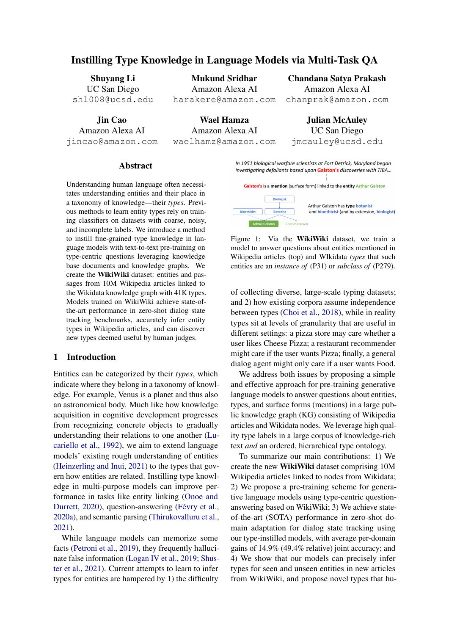William S. Isaac, Sean Legassick, Geoffrey Irving, and Iason Gabriel. 2021. Ethical and social risks of harm from language models. *CoRR*, abs/2112.04359.

- Chien-Sheng Wu, Andrea Madotto, Ehsan Hosseini-Asl, Caiming Xiong, Richard Socher, and Pascale Fung. 2019. Transferable multi-domain state generator for task-oriented dialogue systems. In *ACL*, pages 808–819.
- <span id="page-7-2"></span>Ledell Wu, Fabio Petroni, Martin Josifoski, Sebastian Riedel, and Luke Zettlemoyer. 2020a. Scalable zeroshot entity linking with dense entity retrieval. In *EMNLP*, pages 6397–6407.
- <span id="page-7-5"></span>Ledell Wu, Fabio Petroni, Martin Josifoski, Sebastian Riedel, and Luke Zettlemoyer. 2020b. Scalable zeroshot entity linking with dense entity retrieval. In *EMNLP*, pages 6397–6407.
- <span id="page-7-0"></span>Ikuya Yamada, Akari Asai, Hiroyuki Shindo, Hideaki Takeda, and Yuji Matsumoto. 2020. LUKE: deep contextualized entity representations with entityaware self-attention. In *EMNLP*. Association for Computational Linguistics.
- <span id="page-7-3"></span>Ikuya Yamada, Koki Washio, Hiroyuki Shindo, and Yuji Matsumoto. 2019. Global entity disambiguation with pretrained contextualized embeddings of words and entities. *CoRR*, abs/1909.00426.
- Pengcheng Yang, Xu Sun, Wei Li, Shuming Ma, Wei Wu, and Houfeng Wang. 2018. SGM: sequence generation model for multi-label classification. In *COL-ING*, pages 3915–3926.
- <span id="page-7-4"></span>Yuan Yao, Deming Ye, Peng Li, Xu Han, Yankai Lin, Zhenghao Liu, Zhiyuan Liu, Lixin Huang, Jie Zhou, and Maosong Sun. 2019. Docred: A large-scale document-level relation extraction dataset. In *ACL*, pages 764–777.
- <span id="page-7-7"></span>Yang You, Jing Li, Sashank J. Reddi, Jonathan Hseu, Sanjiv Kumar, Srinadh Bhojanapalli, Xiaodan Song, James Demmel, Kurt Keutzer, and Cho-Jui Hsieh. 2020. Large batch optimization for deep learning: Training BERT in 76 minutes. In *ICLR*. OpenReview.net.
- <span id="page-7-1"></span>Taolin Zhang, Chengyu Wang, Nan Hu, Minghui Qiu, Chengguang Tang, Xiaofeng He, and Jun Huang. 2021. DKPLM: decomposable knowledgeenhanced pre-trained language model for natural lan[guage understanding.](http://arxiv.org/abs/2112.01047) *CoRR*, abs/2112.01047.

## A Data

We use the June 2021 Wikidata database file from [https://www.wikidata.org/wiki/](https://www.wikidata.org/wiki/Wikidata:Database_download) Wikidata:Database download for raw KG data. We use English Wikipedia article HTML crawled from the same time period. While Wikidata contains multilingual definitions and labels for each node, in this paper we use only English entity and type names.

Wikipedia data was collected under the original terms of release which allow free usage of such materials for non-commercial purposes.<sup>[5](#page-7-6)</sup> We will release WikiWiki under the same license.

When creating questions for pre-training tasks, if a question has multiple answers (e.g. multiple chemists in Table [2\)](#page-1-0), the answers are a comma- and and-delimited sequence, in order of appearance in the context. For the entity typing question, we use the order that types appear in the Wikidata page.

### B Experimental Settings

We train all of our models on a node with eight Nvidia V100 GPUs (comprising 256 GB total VRAM) and 768 GB of RAM. We optimize using Deepspeed Stage 1 (Pudipeddi et al., 2020) using FP16 and the Lamb optimizer [\(You et al.,](#page-7-7) [2020\)](#page-7-7). Experimental results, where applicable, are reported as median of 3 experiments.

Hyperparameters For pre-training, we use a learning rate of 1e-4 with a linear warm-up for the first 10% of training iterations, using an effective batch size of 960. Our models were trained on a single pass of our pre-training dataset of 50M questions, totaling 52K steps. We fine-tune models using the same learning rate schedule, using an effective batch size of 2560 and early stopping for a maximum of 10 epochs based on validation loss. We aim to establish the general ability of our pre-training scheme to instill type awareness, and thus fix hyperparameters for generative language models trained with our method without hyperparameter tuning.

As mentioned in Section 4, the RoBERTa-based classifier for entity typing on WikiWiki required significantly more hyperparameter tuning; we performed a hyperparameter sweep on batch size (512 to 2048), learning rate (1e-3 to 1e-5), optimizer

<span id="page-7-6"></span><sup>5</sup>[https://en.wikipedia.org/wiki/](https://en.wikipedia.org/wiki/Wikipedia:Copyrights) [Wikipedia:Copyrights](https://en.wikipedia.org/wiki/Wikipedia:Copyrights)